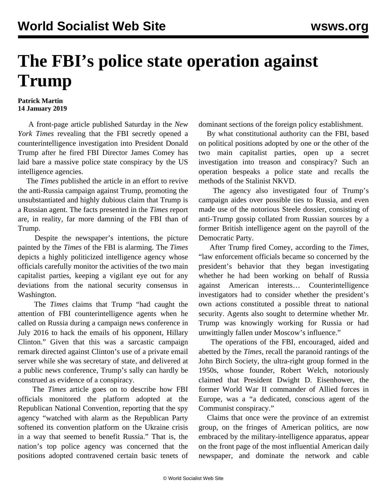## **The FBI's police state operation against Trump**

## **Patrick Martin 14 January 2019**

 A front-page article published Saturday in the *New York Times* revealing that the FBI secretly opened a counterintelligence investigation into President Donald Trump after he fired FBI Director James Comey has laid bare a massive police state conspiracy by the US intelligence agencies.

 The *Times* published the article in an effort to revive the anti-Russia campaign against Trump, promoting the unsubstantiated and highly dubious claim that Trump is a Russian agent. The facts presented in the *Times* report are, in reality, far more damning of the FBI than of Trump.

 Despite the newspaper's intentions, the picture painted by the *Times* of the FBI is alarming. The *Times* depicts a highly politicized intelligence agency whose officials carefully monitor the activities of the two main capitalist parties, keeping a vigilant eye out for any deviations from the national security consensus in Washington.

 The *Times* claims that Trump "had caught the attention of FBI counterintelligence agents when he called on Russia during a campaign news conference in July 2016 to hack the emails of his opponent, Hillary Clinton." Given that this was a sarcastic campaign remark directed against Clinton's use of a private email server while she was secretary of state, and delivered at a public news conference, Trump's sally can hardly be construed as evidence of a conspiracy.

 The *Times* article goes on to describe how FBI officials monitored the platform adopted at the Republican National Convention, reporting that the spy agency "watched with alarm as the Republican Party softened its convention platform on the Ukraine crisis in a way that seemed to benefit Russia." That is, the nation's top police agency was concerned that the positions adopted contravened certain basic tenets of dominant sections of the foreign policy establishment.

 By what constitutional authority can the FBI, based on political positions adopted by one or the other of the two main capitalist parties, open up a secret investigation into treason and conspiracy? Such an operation bespeaks a police state and recalls the methods of the Stalinist NKVD.

 The agency also investigated four of Trump's campaign aides over possible ties to Russia, and even made use of the notorious Steele dossier, consisting of anti-Trump gossip collated from Russian sources by a former British intelligence agent on the payroll of the Democratic Party.

 After Trump fired Comey, according to the *Times*, "law enforcement officials became so concerned by the president's behavior that they began investigating whether he had been working on behalf of Russia against American interests… Counterintelligence investigators had to consider whether the president's own actions constituted a possible threat to national security. Agents also sought to determine whether Mr. Trump was knowingly working for Russia or had unwittingly fallen under Moscow's influence."

 The operations of the FBI, encouraged, aided and abetted by the *Times*, recall the paranoid rantings of the John Birch Society, the ultra-right group formed in the 1950s, whose founder, Robert Welch, notoriously claimed that President Dwight D. Eisenhower, the former World War II commander of Allied forces in Europe, was a "a dedicated, conscious agent of the Communist conspiracy."

 Claims that once were the province of an extremist group, on the fringes of American politics, are now embraced by the military-intelligence apparatus, appear on the front page of the most influential American daily newspaper, and dominate the network and cable